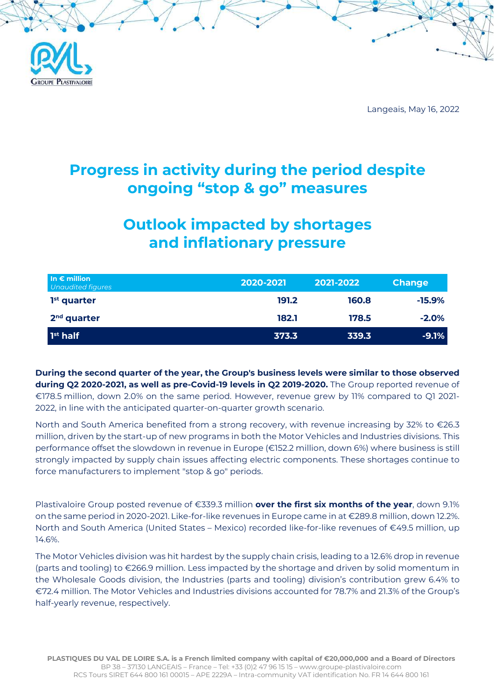

Langeais, May 16, 2022

## Progress in activity during the period despite ongoing "stop & go" measures

# Outlook impacted by shortages and inflationary pressure

| In $\epsilon$ million<br>Unaudited figures | 2020-2021 | 2021-2022 | <b>Change</b> |
|--------------------------------------------|-----------|-----------|---------------|
| $1st$ quarter                              | 191.2     | 160.8     | $-15.9\%$     |
| 2 <sup>nd</sup> quarter                    | 182.1     | 178.5     | $-2.0%$       |
| 1 <sup>st</sup> half                       | 373.3     | 339.3     | $-9.1%$       |

During the second quarter of the year, the Group's business levels were similar to those observed during Q2 2020-2021, as well as pre-Covid-19 levels in Q2 2019-2020. The Group reported revenue of €178.5 million, down 2.0% on the same period. However, revenue grew by 11% compared to Q1 2021- 2022, in line with the anticipated quarter-on-quarter growth scenario.

North and South America benefited from a strong recovery, with revenue increasing by 32% to €26.3 million, driven by the start-up of new programs in both the Motor Vehicles and Industries divisions. This performance offset the slowdown in revenue in Europe (€152.2 million, down 6%) where business is still strongly impacted by supply chain issues affecting electric components. These shortages continue to force manufacturers to implement "stop & go" periods.

Plastivaloire Group posted revenue of €339.3 million **over the first six months of the year**, down 9.1% on the same period in 2020-2021. Like-for-like revenues in Europe came in at €289.8 million, down 12.2%. North and South America (United States – Mexico) recorded like-for-like revenues of €49.5 million, up 14.6%.

The Motor Vehicles division was hit hardest by the supply chain crisis, leading to a 12.6% drop in revenue (parts and tooling) to €266.9 million. Less impacted by the shortage and driven by solid momentum in the Wholesale Goods division, the Industries (parts and tooling) division's contribution grew 6.4% to €72.4 million. The Motor Vehicles and Industries divisions accounted for 78.7% and 21.3% of the Group's half-yearly revenue, respectively.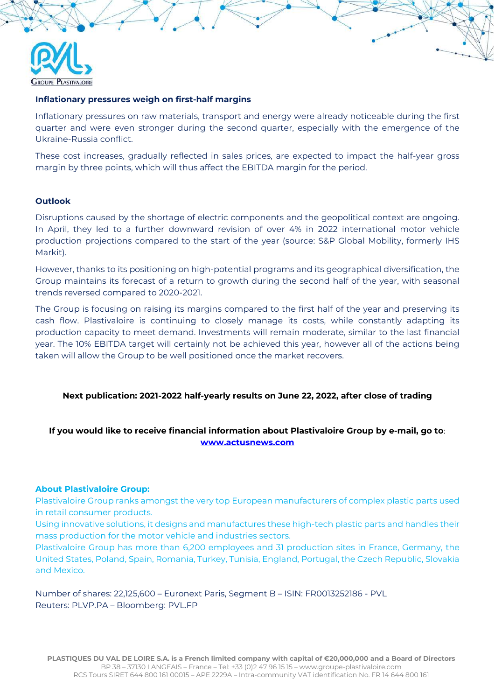

#### Inflationary pressures weigh on first-half margins

Inflationary pressures on raw materials, transport and energy were already noticeable during the first quarter and were even stronger during the second quarter, especially with the emergence of the Ukraine-Russia conflict.

These cost increases, gradually reflected in sales prices, are expected to impact the half-year gross margin by three points, which will thus affect the EBITDA margin for the period.

#### **Outlook**

Disruptions caused by the shortage of electric components and the geopolitical context are ongoing. In April, they led to a further downward revision of over 4% in 2022 international motor vehicle production projections compared to the start of the year (source: S&P Global Mobility, formerly IHS Markit).

However, thanks to its positioning on high-potential programs and its geographical diversification, the Group maintains its forecast of a return to growth during the second half of the year, with seasonal trends reversed compared to 2020-2021.

The Group is focusing on raising its margins compared to the first half of the year and preserving its cash flow. Plastivaloire is continuing to closely manage its costs, while constantly adapting its production capacity to meet demand. Investments will remain moderate, similar to the last financial year. The 10% EBITDA target will certainly not be achieved this year, however all of the actions being taken will allow the Group to be well positioned once the market recovers.

#### Next publication: 2021-2022 half-yearly results on June 22, 2022, after close of trading

### If you would like to receive financial information about Plastivaloire Group by e-mail, go to: www.actusnews.com

#### About Plastivaloire Group:

Plastivaloire Group ranks amongst the very top European manufacturers of complex plastic parts used in retail consumer products.

Using innovative solutions, it designs and manufactures these high-tech plastic parts and handles their mass production for the motor vehicle and industries sectors.

Plastivaloire Group has more than 6,200 employees and 31 production sites in France, Germany, the United States, Poland, Spain, Romania, Turkey, Tunisia, England, Portugal, the Czech Republic, Slovakia and Mexico.

Number of shares: 22,125,600 – Euronext Paris, Segment B – ISIN: FR0013252186 - PVL Reuters: PLVP.PA – Bloomberg: PVL.FP